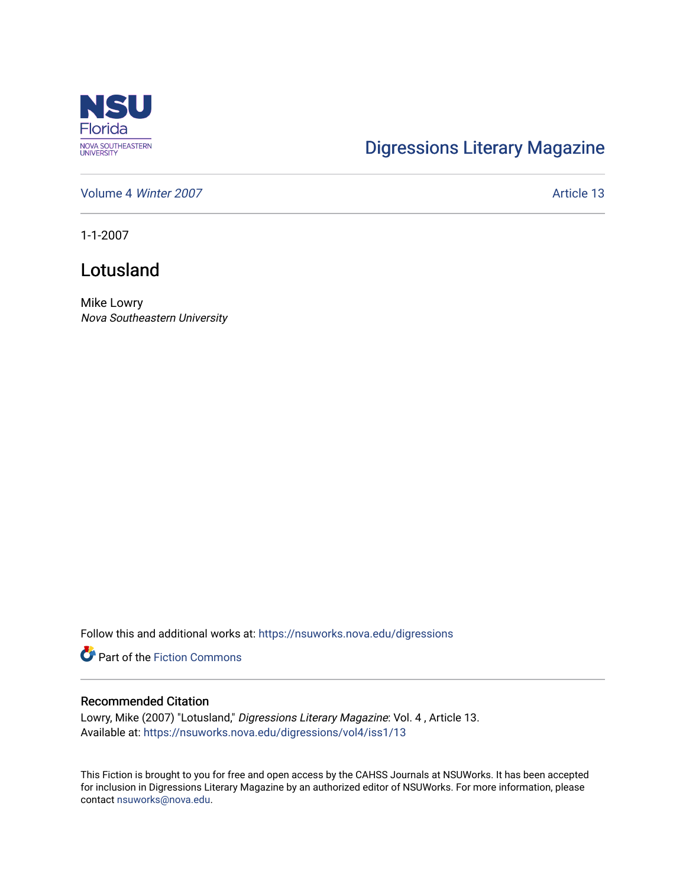

## [Digressions Literary Magazine](https://nsuworks.nova.edu/digressions)

[Volume 4](https://nsuworks.nova.edu/digressions/vol4) Winter 2007 **Article 13** 

1-1-2007

## Lotusland

Mike Lowry Nova Southeastern University

Follow this and additional works at: [https://nsuworks.nova.edu/digressions](https://nsuworks.nova.edu/digressions?utm_source=nsuworks.nova.edu%2Fdigressions%2Fvol4%2Fiss1%2F13&utm_medium=PDF&utm_campaign=PDFCoverPages) 

**Part of the Fiction Commons** 

## Recommended Citation

Lowry, Mike (2007) "Lotusland," Digressions Literary Magazine: Vol. 4 , Article 13. Available at: [https://nsuworks.nova.edu/digressions/vol4/iss1/13](https://nsuworks.nova.edu/digressions/vol4/iss1/13?utm_source=nsuworks.nova.edu%2Fdigressions%2Fvol4%2Fiss1%2F13&utm_medium=PDF&utm_campaign=PDFCoverPages) 

This Fiction is brought to you for free and open access by the CAHSS Journals at NSUWorks. It has been accepted for inclusion in Digressions Literary Magazine by an authorized editor of NSUWorks. For more information, please contact [nsuworks@nova.edu.](mailto:nsuworks@nova.edu)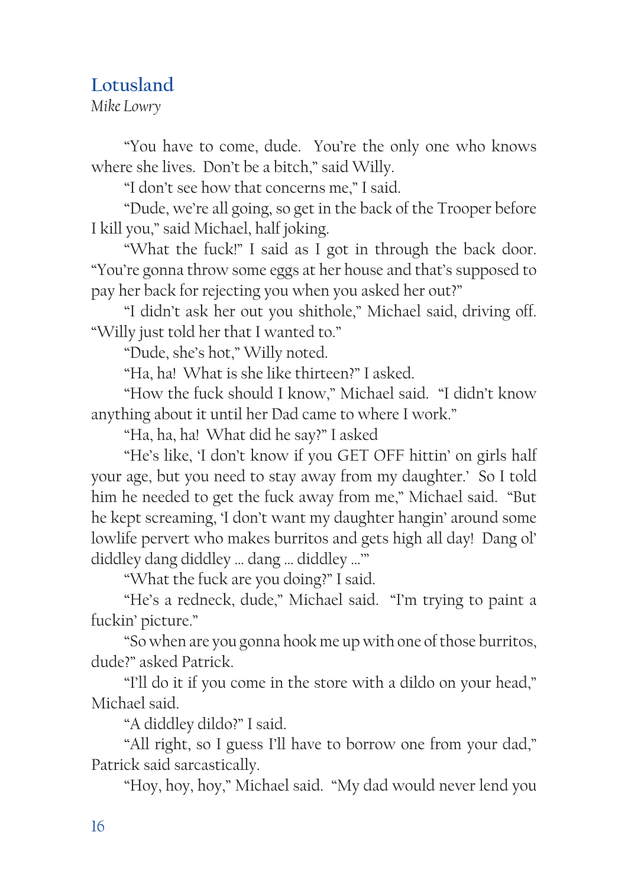## **Lotusland**

*Mike Lowry*

"You have to come, dude. You're the only one who knows where she lives. Don't be a bitch," said Willy.

"I don't see how that concerns me," I said.

"Dude, we're all going, so get in the back of the Trooper before I kill you," said Michael, half joking.

"What the fuck!" I said as I got in through the back door. "You're gonna throw some eggs at her house and that's supposed to pay her back for rejecting you when you asked her out?"

"I didn't ask her out you shithole," Michael said, driving off. "Willy just told her that I wanted to."

"Dude, she's hot," Willy noted.

"Ha, ha! What is she like thirteen?" I asked.

"How the fuck should I know," Michael said. "I didn't know anything about it until her Dad came to where I work."

"Ha, ha, ha! What did he say?" I asked

"He's like, 'I don't know if you GET OFF hittin' on girls half your age, but you need to stay away from my daughter.' So I told him he needed to get the fuck away from me," Michael said. "But he kept screaming, 'I don't want my daughter hangin' around some lowlife pervert who makes burritos and gets high all day! Dang ol' diddley dang diddley … dang … diddley …'"

"What the fuck are you doing?" I said.

"He's a redneck, dude," Michael said. "I'm trying to paint a fuckin' picture."

"So when are you gonna hook me up with one of those burritos, dude?" asked Patrick.

"I'll do it if you come in the store with a dildo on your head," Michael said.

"A diddley dildo?" I said.

"All right, so I guess I'll have to borrow one from your dad," Patrick said sarcastically.

"Hoy, hoy, hoy," Michael said. "My dad would never lend you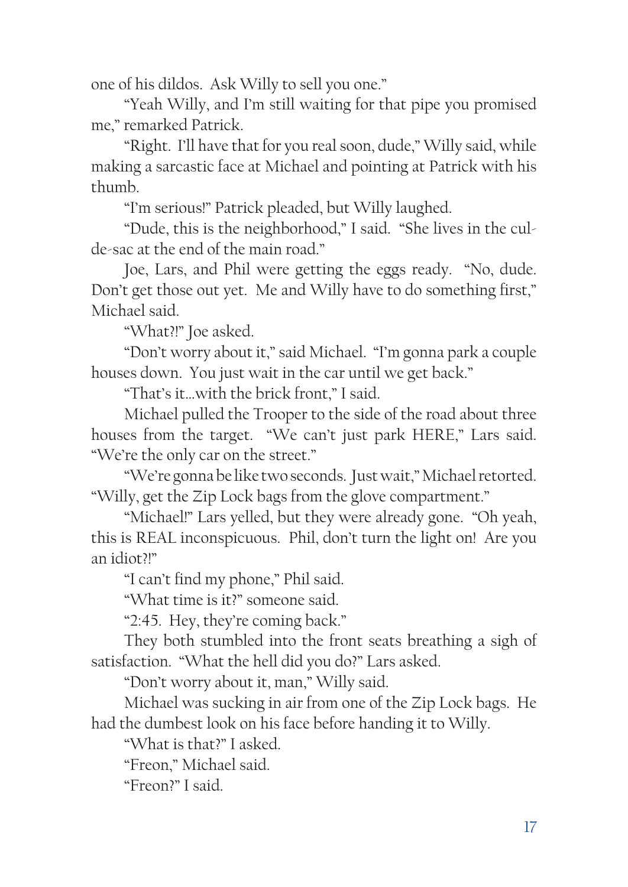one of his dildos. Ask Willy to sell you one."

"Yeah Willy, and I'm still waiting for that pipe you promised me," remarked Patrick.

"Right. I'll have that for you real soon, dude," Willy said, while making a sarcastic face at Michael and pointing at Patrick with his thumb.

"I'm serious!" Patrick pleaded, but Willy laughed.

"Dude, this is the neighborhood," I said. "She lives in the culde-sac at the end of the main road."

Joe, Lars, and Phil were getting the eggs ready. "No, dude. Don't get those out yet. Me and Willy have to do something first," Michael said.

"What?!" Joe asked.

"Don't worry about it," said Michael. "I'm gonna park a couple houses down. You just wait in the car until we get back."

"That's it…with the brick front," I said.

Michael pulled the Trooper to the side of the road about three houses from the target. "We can't just park HERE," Lars said. "We're the only car on the street."

"We're gonna be like two seconds. Just wait," Michael retorted. "Willy, get the Zip Lock bags from the glove compartment."

"Michael!" Lars yelled, but they were already gone. "Oh yeah, this is REAL inconspicuous. Phil, don't turn the light on! Are you an idiot?!"

"I can't find my phone," Phil said.

"What time is it?" someone said.

"2:45. Hey, they're coming back."

They both stumbled into the front seats breathing a sigh of satisfaction. "What the hell did you do?" Lars asked.

"Don't worry about it, man," Willy said.

Michael was sucking in air from one of the Zip Lock bags. He had the dumbest look on his face before handing it to Willy.

"What is that?" I asked.

"Freon," Michael said.

"Freon?" I said.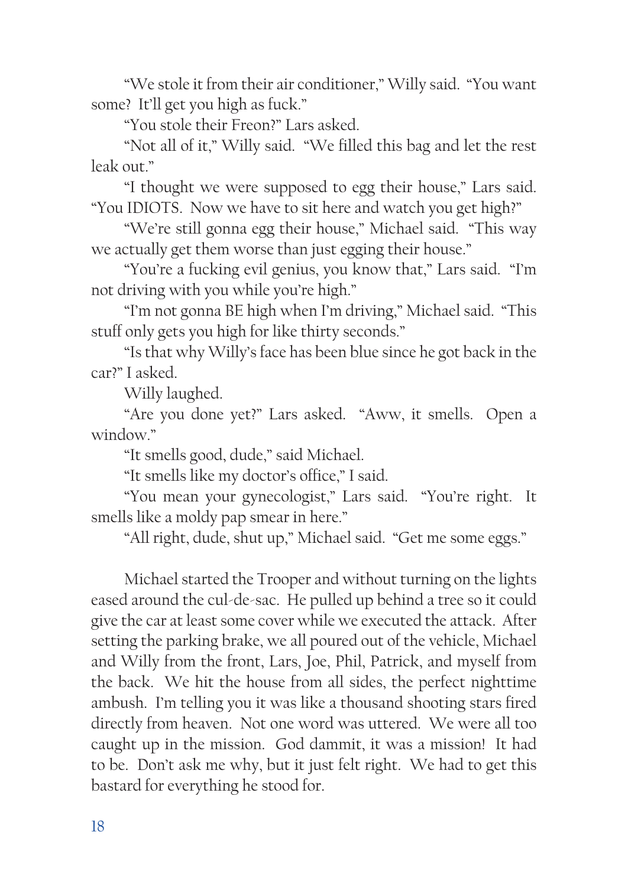"We stole it from their air conditioner," Willy said. "You want some? It'll get you high as fuck."

"You stole their Freon?" Lars asked.

"Not all of it," Willy said. "We filled this bag and let the rest leak out."

"I thought we were supposed to egg their house," Lars said. "You IDIOTS. Now we have to sit here and watch you get high?"

"We're still gonna egg their house," Michael said. "This way we actually get them worse than just egging their house."

"You're a fucking evil genius, you know that," Lars said. "I'm not driving with you while you're high."

"I'm not gonna BE high when I'm driving," Michael said. "This stuff only gets you high for like thirty seconds."

"Is that why Willy's face has been blue since he got back in the car?" I asked.

Willy laughed.

"Are you done yet?" Lars asked. "Aww, it smells. Open a window."

"It smells good, dude," said Michael.

"It smells like my doctor's office," I said.

"You mean your gynecologist," Lars said. "You're right. It smells like a moldy pap smear in here."

"All right, dude, shut up," Michael said. "Get me some eggs."

Michael started the Trooper and without turning on the lights eased around the cul-de-sac. He pulled up behind a tree so it could give the car at least some cover while we executed the attack. After setting the parking brake, we all poured out of the vehicle, Michael and Willy from the front, Lars, Joe, Phil, Patrick, and myself from the back. We hit the house from all sides, the perfect nighttime ambush. I'm telling you it was like a thousand shooting stars fired directly from heaven. Not one word was uttered. We were all too caught up in the mission. God dammit, it was a mission! It had to be. Don't ask me why, but it just felt right. We had to get this bastard for everything he stood for.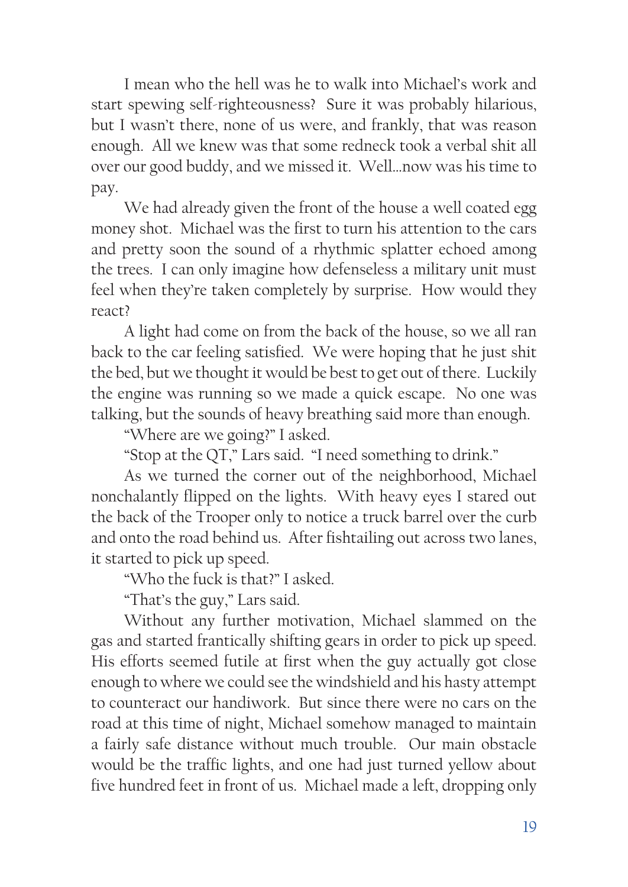I mean who the hell was he to walk into Michael's work and start spewing self-righteousness? Sure it was probably hilarious, but I wasn't there, none of us were, and frankly, that was reason enough. All we knew was that some redneck took a verbal shit all over our good buddy, and we missed it. Well…now was his time to pay.

We had already given the front of the house a well coated egg money shot. Michael was the first to turn his attention to the cars and pretty soon the sound of a rhythmic splatter echoed among the trees. I can only imagine how defenseless a military unit must feel when they're taken completely by surprise. How would they react?

A light had come on from the back of the house, so we all ran back to the car feeling satisfied. We were hoping that he just shit the bed, but we thought it would be best to get out of there. Luckily the engine was running so we made a quick escape. No one was talking, but the sounds of heavy breathing said more than enough.

"Where are we going?" I asked.

"Stop at the QT," Lars said. "I need something to drink."

As we turned the corner out of the neighborhood, Michael nonchalantly flipped on the lights. With heavy eyes I stared out the back of the Trooper only to notice a truck barrel over the curb and onto the road behind us. After fishtailing out across two lanes, it started to pick up speed.

"Who the fuck is that?" I asked.

"That's the guy," Lars said.

Without any further motivation, Michael slammed on the gas and started frantically shifting gears in order to pick up speed. His efforts seemed futile at first when the guy actually got close enough to where we could see the windshield and his hasty attempt to counteract our handiwork. But since there were no cars on the road at this time of night, Michael somehow managed to maintain a fairly safe distance without much trouble. Our main obstacle would be the traffic lights, and one had just turned yellow about five hundred feet in front of us. Michael made a left, dropping only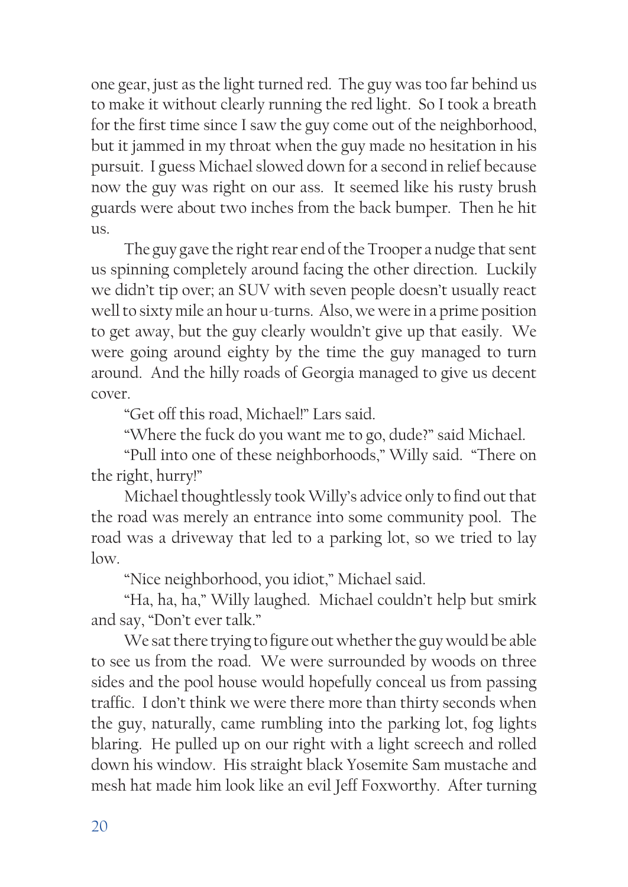one gear, just as the light turned red. The guy was too far behind us to make it without clearly running the red light. So I took a breath for the first time since I saw the guy come out of the neighborhood, but it jammed in my throat when the guy made no hesitation in his pursuit. I guess Michael slowed down for a second in relief because now the guy was right on our ass. It seemed like his rusty brush guards were about two inches from the back bumper. Then he hit us.

The guy gave the right rear end of the Trooper a nudge that sent us spinning completely around facing the other direction. Luckily we didn't tip over; an SUV with seven people doesn't usually react well to sixty mile an hour u-turns. Also, we were in a prime position to get away, but the guy clearly wouldn't give up that easily. We were going around eighty by the time the guy managed to turn around. And the hilly roads of Georgia managed to give us decent cover.

"Get off this road, Michael!" Lars said.

"Where the fuck do you want me to go, dude?" said Michael.

"Pull into one of these neighborhoods," Willy said. "There on the right, hurry!"

Michael thoughtlessly took Willy's advice only to find out that the road was merely an entrance into some community pool. The road was a driveway that led to a parking lot, so we tried to lay low.

"Nice neighborhood, you idiot," Michael said.

"Ha, ha, ha," Willy laughed. Michael couldn't help but smirk and say, "Don't ever talk."

We sat there trying to figure out whether the guy would be able to see us from the road. We were surrounded by woods on three sides and the pool house would hopefully conceal us from passing traffic. I don't think we were there more than thirty seconds when the guy, naturally, came rumbling into the parking lot, fog lights blaring. He pulled up on our right with a light screech and rolled down his window. His straight black Yosemite Sam mustache and mesh hat made him look like an evil Jeff Foxworthy. After turning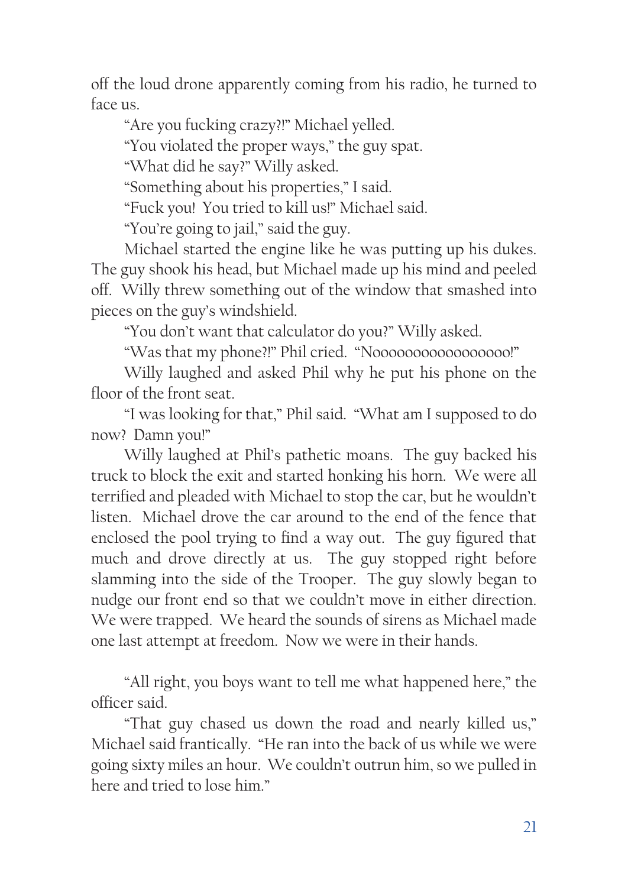off the loud drone apparently coming from his radio, he turned to face us.

"Are you fucking crazy?!" Michael yelled.

"You violated the proper ways," the guy spat.

"What did he say?" Willy asked.

"Something about his properties," I said.

"Fuck you! You tried to kill us!" Michael said.

"You're going to jail," said the guy.

Michael started the engine like he was putting up his dukes. The guy shook his head, but Michael made up his mind and peeled off. Willy threw something out of the window that smashed into pieces on the guy's windshield.

"You don't want that calculator do you?" Willy asked.

"Was that my phone?!" Phil cried. "Nooooooooooooooooo!"

Willy laughed and asked Phil why he put his phone on the floor of the front seat.

"I was looking for that," Phil said. "What am I supposed to do now? Damn you!"

Willy laughed at Phil's pathetic moans. The guy backed his truck to block the exit and started honking his horn. We were all terrified and pleaded with Michael to stop the car, but he wouldn't listen. Michael drove the car around to the end of the fence that enclosed the pool trying to find a way out. The guy figured that much and drove directly at us. The guy stopped right before slamming into the side of the Trooper. The guy slowly began to nudge our front end so that we couldn't move in either direction. We were trapped. We heard the sounds of sirens as Michael made one last attempt at freedom. Now we were in their hands.

"All right, you boys want to tell me what happened here," the officer said.

"That guy chased us down the road and nearly killed us," Michael said frantically. "He ran into the back of us while we were going sixty miles an hour. We couldn't outrun him, so we pulled in here and tried to lose him."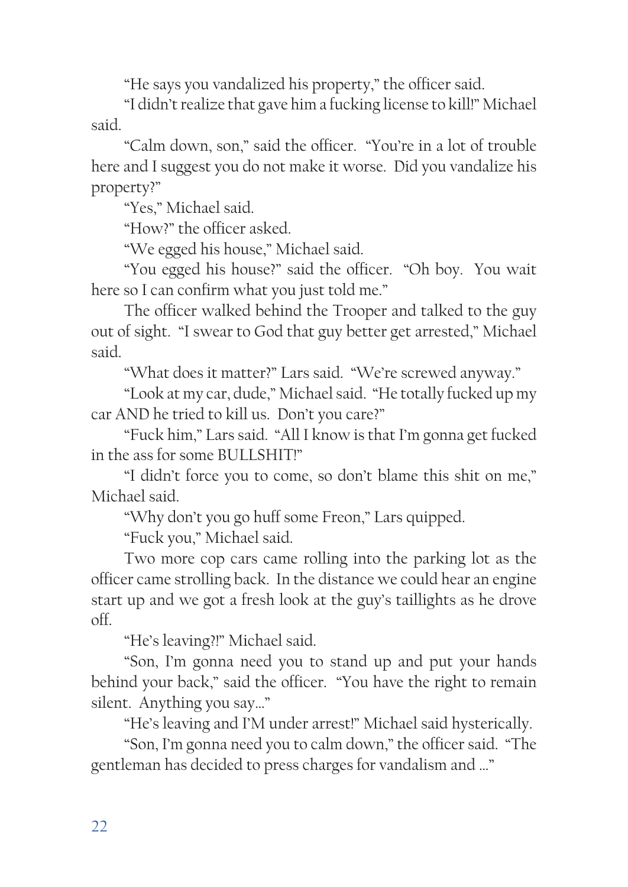"He says you vandalized his property," the officer said.

"I didn't realize that gave him a fucking license to kill!" Michael said.

"Calm down, son," said the officer. "You're in a lot of trouble here and I suggest you do not make it worse. Did you vandalize his property?"

"Yes," Michael said.

"How?" the officer asked.

"We egged his house," Michael said.

"You egged his house?" said the officer. "Oh boy. You wait here so I can confirm what you just told me."

The officer walked behind the Trooper and talked to the guy out of sight. "I swear to God that guy better get arrested," Michael said.

"What does it matter?" Lars said. "We're screwed anyway."

"Look at my car, dude," Michael said. "He totally fucked up my car AND he tried to kill us. Don't you care?"

"Fuck him," Lars said. "All I know is that I'm gonna get fucked in the ass for some BULLSHIT!"

"I didn't force you to come, so don't blame this shit on me," Michael said.

"Why don't you go huff some Freon," Lars quipped.

"Fuck you," Michael said.

Two more cop cars came rolling into the parking lot as the officer came strolling back. In the distance we could hear an engine start up and we got a fresh look at the guy's taillights as he drove off.

"He's leaving?!" Michael said.

"Son, I'm gonna need you to stand up and put your hands behind your back," said the officer. "You have the right to remain silent. Anything you say…"

"He's leaving and I'M under arrest!" Michael said hysterically.

"Son, I'm gonna need you to calm down," the officer said. "The gentleman has decided to press charges for vandalism and …"